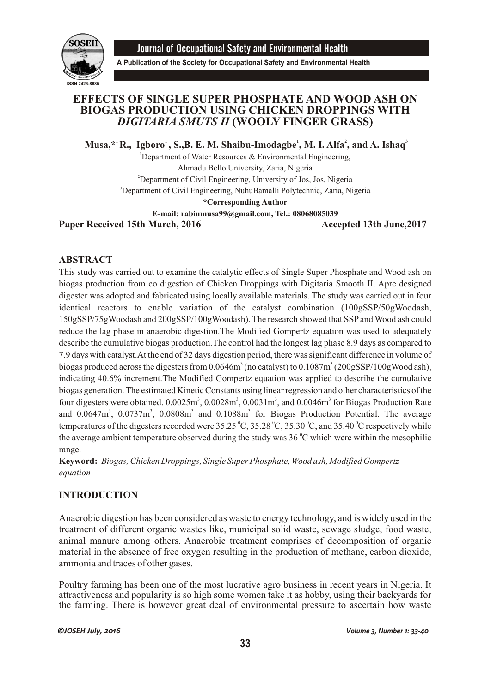

Journal of Occupational Safety and Environmental Health

**A Publication of the Society for Occupational Safety and Environmental Health**

# **EFFECTS OF SINGLE SUPER PHOSPHATE AND WOOD ASH ON BIOGAS PRODUCTION USING CHICKEN DROPPINGS WITH**  *DIGITARIA SMUTS II* **(WOOLY FINGER GRASS)**

**1 1 1 2 3 Musa,\* R., Igboro , S.,B. E. M. Shaibu-Imodagbe , M. I. Alfa , and A. Ishaq**

<sup>1</sup>Department of Water Resources  $\&$  Environmental Engineering, Ahmadu Bello University, Zaria, Nigeria <sup>2</sup>Department of Civil Engineering, University of Jos, Jos, Nigeria <sup>3</sup>Department of Civil Engineering, NuhuBamalli Polytechnic, Zaria, Nigeria **\*Corresponding Author E-mail: rabiumusa99@gmail.com, Tel.: 08068085039**

Paper Received 15th March, 2016 **Accepted 13th June**, 2017

## **ABSTRACT**

This study was carried out to examine the catalytic effects of Single Super Phosphate and Wood ash on biogas production from co digestion of Chicken Droppings with Digitaria Smooth II. Apre designed digester was adopted and fabricated using locally available materials. The study was carried out in four identical reactors to enable variation of the catalyst combination (100gSSP/50gWoodash, 150gSSP/75gWoodash and 200gSSP/100gWoodash). The research showed that SSP and Wood ash could reduce the lag phase in anaerobic digestion.The Modified Gompertz equation was used to adequately describe the cumulative biogas production.The control had the longest lag phase 8.9 days as compared to 7.9 days with catalyst.At the end of 32 days digestion period, there was significant difference in volume of biogas produced across the digesters from  $0.0646m^3$  (no catalyst) to  $0.1087m^3$  (200gSSP/100gWood ash), indicating 40.6% increment.The Modified Gompertz equation was applied to describe the cumulative biogas generation. The estimated Kinetic Constants using linear regression and other characteristics of the four digesters were obtained.  $0.0025m^3$ ,  $0.0028m^3$ ,  $0.0031m^3$ , and  $0.0046m^3$  for Biogas Production Rate and  $0.0647m^3$ ,  $0.0737m^3$ ,  $0.0808m^3$  and  $0.1088m^3$  for Biogas Production Potential. The average temperatures of the digesters recorded were 35.25 °C, 35.28 °C, 35.30 °C, and 35.40 °C respectively while the average ambient temperature observed during the study was  $36\degree C$  which were within the mesophilic range.

**Keyword:** *Biogas, Chicken Droppings, Single Super Phosphate, Wood ash, Modified Gompertz equation*

# **INTRODUCTION**

Anaerobic digestion has been considered as waste to energy technology, and is widely used in the treatment of different organic wastes like, municipal solid waste, sewage sludge, food waste, animal manure among others. Anaerobic treatment comprises of decomposition of organic material in the absence of free oxygen resulting in the production of methane, carbon dioxide, ammonia and traces of other gases.

Poultry farming has been one of the most lucrative agro business in recent years in Nigeria. It attractiveness and popularity is so high some women take it as hobby, using their backyards for the farming. There is however great deal of environmental pressure to ascertain how waste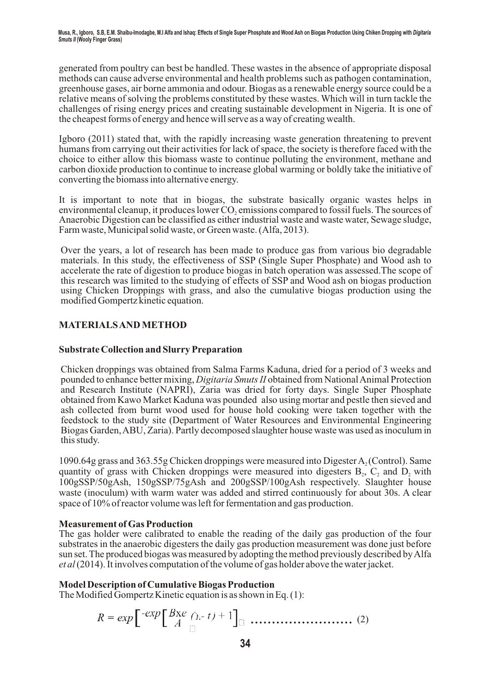generated from poultry can best be handled. These wastes in the absence of appropriate disposal methods can cause adverse environmental and health problems such as pathogen contamination, greenhouse gases, air borne ammonia and odour. Biogas as a renewable energy source could be a relative means of solving the problems constituted by these wastes. Which will in turn tackle the challenges of rising energy prices and creating sustainable development in Nigeria. It is one of the cheapest forms of energy and hence will serve as a way of creating wealth.

Igboro (2011) stated that, with the rapidly increasing waste generation threatening to prevent humans from carrying out their activities for lack of space, the society is therefore faced with the choice to either allow this biomass waste to continue polluting the environment, methane and carbon dioxide production to continue to increase global warming or boldly take the initiative of converting the biomass into alternative energy.

It is important to note that in biogas, the substrate basically organic wastes helps in environmental cleanup, it produces lower CO, emissions compared to fossil fuels. The sources of Anaerobic Digestion can be classified as either industrial waste and waste water, Sewage sludge, Farm waste, Municipal solid waste, or Green waste. (Alfa, 2013).

Over the years, a lot of research has been made to produce gas from various bio degradable materials. In this study, the effectiveness of SSP (Single Super Phosphate) and Wood ash to accelerate the rate of digestion to produce biogas in batch operation was assessed.The scope of this research was limited to the studying of effects of SSP and Wood ash on biogas production using Chicken Droppings with grass, and also the cumulative biogas production using the modified Gompertz kinetic equation.

# **MATERIALS AND METHOD**

## **Substrate Collection and Slurry Preparation**

Chicken droppings was obtained from Salma Farms Kaduna, dried for a period of 3 weeks and pounded to enhance better mixing, *Digitaria Smuts II* obtained from National Animal Protection and Research Institute (NAPRI), Zaria was dried for forty days. Single Super Phosphate obtained from Kawo Market Kaduna was pounded also using mortar and pestle then sieved and ash collected from burnt wood used for house hold cooking were taken together with the feedstock to the study site (Department of Water Resources and Environmental Engineering Biogas Garden, ABU, Zaria). Partly decomposed slaughter house waste was used as inoculum in this study.

1090.64g grass and 363.55g Chicken droppings were measured into Digester A (Control). Same <sup>2</sup> quantity of grass with Chicken droppings were measured into digesters  $B_2$ ,  $C_2$  and  $D_2$  with 100gSSP/50gAsh, 150gSSP/75gAsh and 200gSSP/100gAsh respectively. Slaughter house waste (inoculum) with warm water was added and stirred continuously for about 30s. A clear space of 10% of reactor volume was left for fermentation and gas production.

## **Measurement of Gas Production**

The gas holder were calibrated to enable the reading of the daily gas production of the four substrates in the anaerobic digesters the daily gas production measurement was done just before sun set. The produced biogas was measured by adopting the method previously described by Alfa *et al* (2014). It involves computation of the volume of gas holder above the water jacket.

## **Model Description of Cumulative Biogas Production**

The Modified Gompertz Kinetic equation is as shown in Eq. (1):

$$
R = exp\left[\begin{array}{c} exp\left[\begin{array}{c} Bxe & \wedge \\ A \end{array}\right] & \wedge \end{array}\right] \quad \dots \quad \dots \quad \dots \quad (2)
$$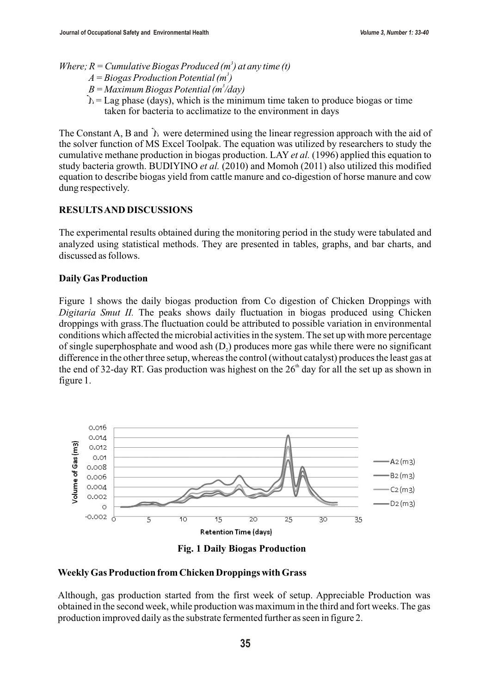*Where; R = Cumulative Biogas Produced (m<sup>3</sup>) at any time (t)* 

- *3 A = Biogas Production Potential (m )*
- *3 B = Maximum Biogas Potential (m /day)*
- *B* = *Maximum Biogas Potential (m /aay)*<br>  $\hat{b}$  = Lag phase (days), which is the minimum time taken to produce biogas or time taken for bacteria to acclimatize to the environment in days

The Constant A, B and  $\hat{b}$  were determined using the linear regression approach with the aid of the solver function of MS Excel Toolpak. The equation was utilized by researchers to study the cumulative methane production in biogas production. LAY *et al.* (1996) applied this equation to study bacteria growth. BUDIYINO *et al.* (2010) and Momoh (2011) also utilized this modified equation to describe biogas yield from cattle manure and co-digestion of horse manure and cow dung respectively.

## **RESULTS AND DISCUSSIONS**

The experimental results obtained during the monitoring period in the study were tabulated and analyzed using statistical methods. They are presented in tables, graphs, and bar charts, and discussed as follows.

### **Daily Gas Production**

Figure 1 shows the daily biogas production from Co digestion of Chicken Droppings with *Digitaria Smut II.* The peaks shows daily fluctuation in biogas produced using Chicken droppings with grass.The fluctuation could be attributed to possible variation in environmental conditions which affected the microbial activities in the system. The set up with more percentage of single superphosphate and wood ash  $(D<sub>2</sub>)$  produces more gas while there were no significant difference in the other three setup, whereas the control (without catalyst) produces the least gas at the end of 32-day RT. Gas production was highest on the  $26<sup>th</sup>$  day for all the set up as shown in figure 1.



**Fig. 1 Daily Biogas Production** 

### **Weekly Gas Production from Chicken Droppings with Grass**

Although, gas production started from the first week of setup. Appreciable Production was obtained in the second week, while production was maximum in the third and fort weeks. The gas production improved daily as the substrate fermented further as seen in figure 2.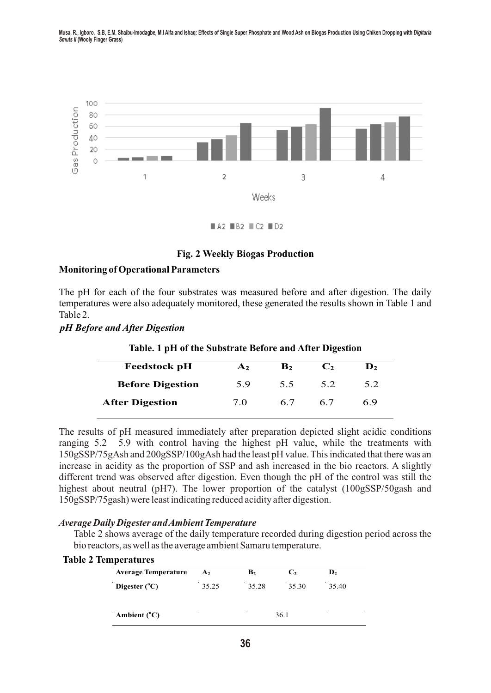Musa, R., Igboro, S.B, E.M. Shaibu-Imodagbe, M.I Alfa and Ishaq: Effects of Single Super Phosphate and Wood Ash on Biogas Production Using Chiken Dropping with Digitaria *Smuts II* **(Wooly Finger Grass)**



 $AA2$  **B2**  $C2$  **D2** 

#### **Fig. 2 Weekly Biogas Production**

#### **Monitoring of Operational Parameters**

The pH for each of the four substrates was measured before and after digestion. The daily temperatures were also adequately monitored, these generated the results shown in Table 1 and Table 2.

#### *pH Before and After Digestion*

| Table. 1 pH of the Substrate Before and After Digestion |                  |                |                |                  |  |  |
|---------------------------------------------------------|------------------|----------------|----------------|------------------|--|--|
| <b>Feedstock pH</b>                                     | $\mathbf{A}_{2}$ | $\mathbf{B}_2$ | C <sub>2</sub> | $\mathbf{D}_{2}$ |  |  |
| <b>Before Digestion</b>                                 | 5.9              | 55             | 5.2            | 5.2              |  |  |
| <b>After Digestion</b>                                  | 7 O              | 67             | 67             | 6.9              |  |  |

#### **Table. 1 pH of the Substrate Before and After Digestion**

The results of pH measured immediately after preparation depicted slight acidic conditions ranging 5.2 5.9 with control having the highest pH value, while the treatments with 150gSSP/75gAsh and 200gSSP/100gAsh had the least pH value. This indicated that there was an increase in acidity as the proportion of SSP and ash increased in the bio reactors. A slightly different trend was observed after digestion. Even though the pH of the control was still the highest about neutral (pH7). The lower proportion of the catalyst (100gSSP/50gash and 150gSSP/75gash) were least indicating reduced acidity after digestion.

#### *Average Daily Digester and Ambient Temperature*

Table 2 shows average of the daily temperature recorded during digestion period across the bio reactors, as well as the average ambient Samaru temperature.

| <b>Table 2 Temperatures</b> |  |
|-----------------------------|--|
|-----------------------------|--|

| <b>Average Temperature</b> | A <sub>2</sub> | B <sub>2</sub> | C <sub>2</sub> | $\mathbf{D}_2$ |
|----------------------------|----------------|----------------|----------------|----------------|
| Digester $(^{\circ}C)$     | 35.25          | 35.28          | 35.30          | 35.40          |
| Ambient $(^{\circ}C)$      | $\sim$         | $\sim$         | 36.1           |                |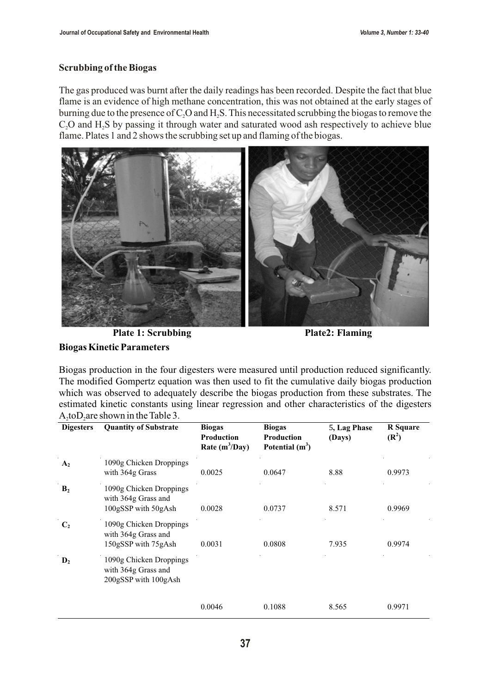## **Scrubbing of the Biogas**

The gas produced was burnt after the daily readings has been recorded. Despite the fact that blue flame is an evidence of high methane concentration, this was not obtained at the early stages of burning due to the presence of  $C_2O$  and  $H_2S$ . This necessitated scrubbing the biogas to remove the C<sub>2</sub>O and H<sub>2</sub>S by passing it through water and saturated wood ash respectively to achieve blue flame. Plates 1 and 2 shows the scrubbing set up and flaming of the biogas.



**Plate 1: Scrubbing Plate 2: Flaming** 

**Biogas Kinetic Parameters**

Biogas production in the four digesters were measured until production reduced significantly. The modified Gompertz equation was then used to fit the cumulative daily biogas production which was observed to adequately describe the biogas production from these substrates. The estimated kinetic constants using linear regression and other characteristics of the digesters  $A_2$  to  $D_2$  are shown in the Table 3.

| <b>Digesters</b> | <b>Quantity of Substrate</b>                                           | <b>Biogas</b><br><b>Production</b><br>Rate $(m^3/Day)$ | <b>Biogas</b><br>Production<br>Potential $(m^3)$ | 5, Lag Phase<br>(Days) | <b>R</b> Square<br>$(\mathbb{R}^2)$ |
|------------------|------------------------------------------------------------------------|--------------------------------------------------------|--------------------------------------------------|------------------------|-------------------------------------|
| A <sub>2</sub>   | 1090g Chicken Droppings<br>with 364g Grass                             | 0.0025                                                 | 0.0647                                           | 8.88                   | 0.9973                              |
| B <sub>2</sub>   | 1090g Chicken Droppings<br>with 364g Grass and<br>100gSSP with 50gAsh  | 0.0028                                                 | 0.0737                                           | 8.571                  | 0.9969                              |
| C <sub>2</sub>   | 1090g Chicken Droppings<br>with 364g Grass and<br>150gSSP with 75gAsh  | 0.0031                                                 | 0.0808                                           | 7.935                  | 0.9974                              |
| $\mathbf{D}_2$   | 1090g Chicken Droppings<br>with 364g Grass and<br>200gSSP with 100gAsh |                                                        |                                                  |                        |                                     |
|                  |                                                                        | 0.0046                                                 | 0.1088                                           | 8.565                  | 0.9971                              |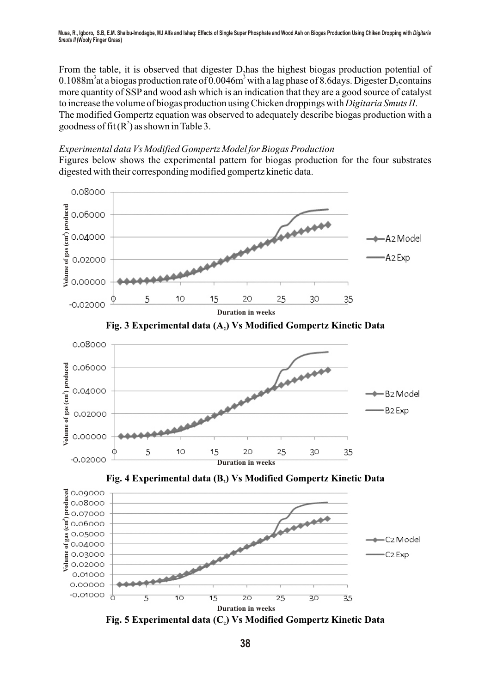Musa, R., loboro, S.B. E.M. Shaibu-Imodagbe, M.I Alfa and Ishag: Effects of Single Super Phosphate and Wood Ash on Biogas Production Using Chiken Dropping with Digitaria *Smuts II* **(Wooly Finger Grass)**

From the table, it is observed that digester D, has the highest biogas production potential of  $3.1088m<sup>3</sup>$  at a biogas production rate of 0.0046m<sup>3</sup> with a lag phase of 8.6days. Digester D, contains more quantity of SSP and wood ash which is an indication that they are a good source of catalyst to increase the volume of biogas production using Chicken droppings with *Digitaria Smuts II*. The modified Gompertz equation was observed to adequately describe biogas production with a goodness of fit  $(R^2)$  as shown in Table 3.

#### *Experimental data Vs Modified Gompertz Model for Biogas Production*

Figures below shows the experimental pattern for biogas production for the four substrates digested with their corresponding modified gompertz kinetic data.



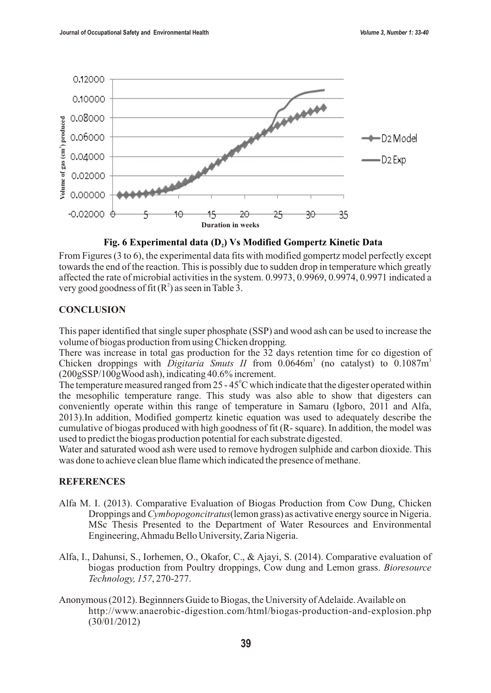

**Fig. 6 Experimental data (D<sup>2</sup> ) Vs Modified Gompertz Kinetic Data**

From Figures (3 to 6), the experimental data fits with modified gompertz model perfectly except towards the end of the reaction. This is possibly due to sudden drop in temperature which greatly affected the rate of microbial activities in the system. 0.9973, 0.9969, 0.9974, 0.9971 indicated a very good goodness of fit  $(R^2)$  as seen in Table 3.

#### **CONCLUSION**

This paper identified that single super phosphate (SSP) and wood ash can be used to increase the volume of biogas production from using Chicken dropping*.*

There was increase in total gas production for the 32 days retention time for co digestion of Chicken droppings with *Digitaria Smuts II* from  $0.0646m<sup>3</sup>$  (no catalyst) to  $0.1087m<sup>3</sup>$ (200gSSP/100gWood ash), indicating 40.6% increment.

The temperature measured ranged from  $25 - 45^{\circ}$ C which indicate that the digester operated within the mesophilic temperature range. This study was also able to show that digesters can conveniently operate within this range of temperature in Samaru (Igboro, 2011 and Alfa, 2013).In addition, Modified gompertz kinetic equation was used to adequately describe the cumulative of biogas produced with high goodness of fit (R- square). In addition, the model was used to predict the biogas production potential for each substrate digested.

Water and saturated wood ash were used to remove hydrogen sulphide and carbon dioxide. This was done to achieve clean blue flame which indicated the presence of methane.

### **REFERENCES**

- Alfa M. I. (2013). Comparative Evaluation of Biogas Production from Cow Dung, Chicken Droppings and *Cymbopogoncitratus*(lemon grass) as activative energy source in Nigeria. MSc Thesis Presented to the Department of Water Resources and Environmental Engineering, Ahmadu Bello University, Zaria Nigeria.
- Alfa, I., Dahunsi, S., Iorhemen, O., Okafor, C., & Ajayi, S. (2014). Comparative evaluation of biogas production from Poultry droppings, Cow dung and Lemon grass. *Bioresource Technology, 157*, 270-277.
- Anonymous (2012). Beginnners Guide to Biogas, the University of Adelaide. Available on http://www.anaerobic-digestion.com/html/biogas-production-and-explosion.php (30/01/2012)